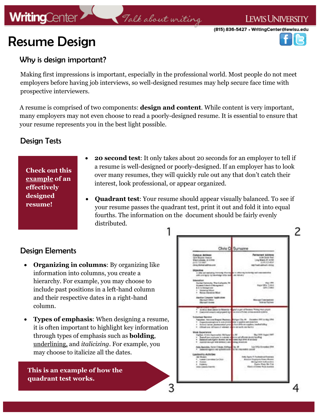# **WritingCenter**

## Talk about writing



## Resume Design

### Why is design important?

Making first impressions is important, especially in the professional world. Most people do not meet employers before having job interviews, so well-designed resumes may help secure face time with prospective interviewers.

A resume is comprised of two components: **design and content**. While content is very important, many employers may not even choose to read a poorly-designed resume. It is essential to ensure that your resume represents you in the best light possible.

### Design Tests

**Check out this [example](https://lewisuwritingcenter.files.wordpress.com/2014/02/sample-resume.pdfC:/Users/dusekdo/Documents/Custom%20Office%20Templates) of an effectively designed resume!** 

- **20 second test**: It only takes about 20 seconds for an employer to tell if a resume is well-designed or poorly-designed. If an employer has to look over many resumes, they will quickly rule out any that don't catch their interest, look professional, or appear organized.
- **Quadrant test**: Your resume should appear visually balanced. To see if your resume passes the quadrant test, print it out and fold it into equal fourths. The information on the document should be fairly evenly distributed.

### Design Elements

- **Organizing in columns**: By organizing like information into columns, you create a hierarchy. For example, you may choose to include past positions in a left-hand column and their respective dates in a right-hand column.
- **Types of emphasis**: When designing a resume, it is often important to highlight key information through types of emphasis such as **bolding**, underlining, and *italicizing*. For example, you may choose to italicize all the dates.

**This is an example of how the quadrant test works.**